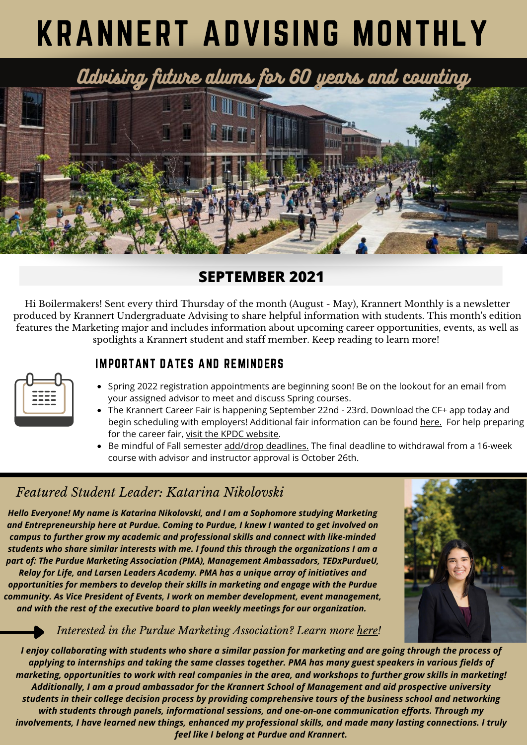# KRANNERT ADVISING MONTHLY

Advising future alums for 60 years and counting



## **SEPTEMBER 2021**

Hi Boilermakers! Sent every third Thursday of the month (August - May), Krannert Monthly is a newsletter produced by Krannert Undergraduate Advising to share helpful information with students. This month's edition features the Marketing major and includes information about upcoming career opportunities, events, as well as spotlights a Krannert student and staff member. Keep reading to learn more!

| $- - -$<br>---- |  |
|-----------------|--|
| ---<br>-        |  |
| ---<br>-        |  |
|                 |  |

- IMPORTANT DATES AND REMINDERS
- Spring 2022 registration appointments are beginning soon! Be on the lookout for an email from your assigned advisor to meet and discuss Spring courses.
- The Krannert Career Fair is happening September 22nd 23rd. Download the CF+ app today and begin scheduling with employers! Additional fair information can be found [here.](https://krannertsmef.com/student-information/) For help preparing for the career fair, visit the KPDC [website.](http://purdue.university/krannertcareerfair)
- Be mindful of Fall semester add/drop [deadlines.](https://www.purdue.edu/registrar/calendars/FallDropAdd.html) The final deadline to withdrawal from a 16-week course with advisor and instructor approval is October 26th.

## *Featured Student Leader: Katarina Nikolovski*

*Hello Everyone! My name is Katarina Nikolovski, and I am a Sophomore studying Marketing and Entrepreneurship here at Purdue. Coming to Purdue, I knew I wanted to get involved on campus to further grow my academic and professional skills and connect with like-minded students who share similar interests with me. I found this through the organizations I am a part of: The Purdue Marketing Association (PMA), Management Ambassadors, TEDxPurdueU,*

*Relay for Life, and Larsen Leaders Academy. PMA has a unique array of initiatives and opportunities for members to develop their skills in marketing and engage with the Purdue community. As Vice President of Events, I work on member development, event management, and with the rest of the executive board to plan weekly meetings for our organization.*



#### *Interested in the Purdue Marketing Association? Learn more [here](https://www.purduemarketing.com/)!*

I enjoy collaborating with students who share a similar passion for marketing and are going through the process of applying to internships and taking the same classes together. PMA has many guest speakers in various fields of marketing, opportunities to work with real companies in the area, and workshops to further grow skills in marketing! *Additionally, I am a proud ambassador for the Krannert School of Management and aid prospective university* students in their college decision process by providing comprehensive tours of the business school and networking *with students through panels, informational sessions, and one-on-one communication efforts. Through my* involvements, I have learned new things, enhanced my professional skills, and made many lasting connections. I truly *feel like I belong at Purdue and Krannert.*